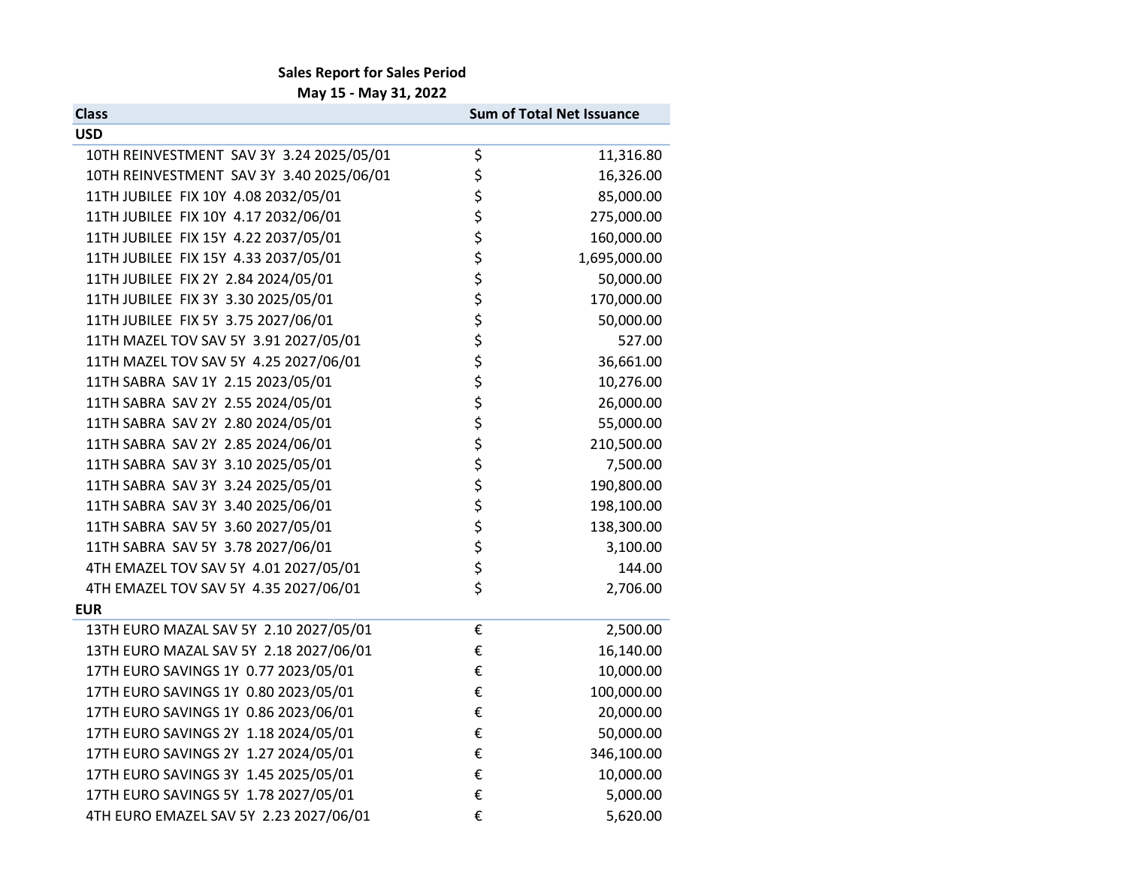## Sales Report for Sales Period

May 15 - May 31, 2022

| <b>Class</b>                             | <b>Sum of Total Net Issuance</b> |              |
|------------------------------------------|----------------------------------|--------------|
| <b>USD</b>                               |                                  |              |
| 10TH REINVESTMENT SAV 3Y 3.24 2025/05/01 | \$                               | 11,316.80    |
| 10TH REINVESTMENT SAV 3Y 3.40 2025/06/01 |                                  | 16,326.00    |
| 11TH JUBILEE FIX 10Y 4.08 2032/05/01     | ちゃくら                             | 85,000.00    |
| 11TH JUBILEE FIX 10Y 4.17 2032/06/01     |                                  | 275,000.00   |
| 11TH JUBILEE FIX 15Y 4.22 2037/05/01     |                                  | 160,000.00   |
| 11TH JUBILEE FIX 15Y 4.33 2037/05/01     |                                  | 1,695,000.00 |
| 11TH JUBILEE FIX 2Y 2.84 2024/05/01      | ややみや                             | 50,000.00    |
| 11TH JUBILEE FIX 3Y 3.30 2025/05/01      |                                  | 170,000.00   |
| 11TH JUBILEE FIX 5Y 3.75 2027/06/01      |                                  | 50,000.00    |
| 11TH MAZEL TOV SAV 5Y 3.91 2027/05/01    |                                  | 527.00       |
| 11TH MAZEL TOV SAV 5Y 4.25 2027/06/01    |                                  | 36,661.00    |
| 11TH SABRA SAV 1Y 2.15 2023/05/01        |                                  | 10,276.00    |
| 11TH SABRA SAV 2Y 2.55 2024/05/01        | \$                               | 26,000.00    |
| 11TH SABRA SAV 2Y 2.80 2024/05/01        |                                  | 55,000.00    |
| 11TH SABRA SAV 2Y 2.85 2024/06/01        | ちちちちち                            | 210,500.00   |
| 11TH SABRA SAV 3Y 3.10 2025/05/01        |                                  | 7,500.00     |
| 11TH SABRA SAV 3Y 3.24 2025/05/01        |                                  | 190,800.00   |
| 11TH SABRA SAV 3Y 3.40 2025/06/01        |                                  | 198,100.00   |
| 11TH SABRA SAV 5Y 3.60 2027/05/01        |                                  | 138,300.00   |
| 11TH SABRA SAV 5Y 3.78 2027/06/01        | \$                               | 3,100.00     |
| 4TH EMAZEL TOV SAV 5Y 4.01 2027/05/01    | \$                               | 144.00       |
| 4TH EMAZEL TOV SAV 5Y 4.35 2027/06/01    | $\overline{\mathsf{S}}$          | 2,706.00     |
| <b>EUR</b>                               |                                  |              |
| 13TH EURO MAZAL SAV 5Y 2.10 2027/05/01   | €                                | 2,500.00     |
| 13TH EURO MAZAL SAV 5Y 2.18 2027/06/01   | €                                | 16,140.00    |
| 17TH EURO SAVINGS 1Y 0.77 2023/05/01     | €                                | 10,000.00    |
| 17TH EURO SAVINGS 1Y 0.80 2023/05/01     | €                                | 100,000.00   |
| 17TH EURO SAVINGS 1Y 0.86 2023/06/01     | €                                | 20,000.00    |
| 17TH EURO SAVINGS 2Y 1.18 2024/05/01     | €                                | 50,000.00    |
| 17TH EURO SAVINGS 2Y 1.27 2024/05/01     | €                                | 346,100.00   |
| 17TH EURO SAVINGS 3Y 1.45 2025/05/01     | €                                | 10,000.00    |
| 17TH EURO SAVINGS 5Y 1.78 2027/05/01     | €                                | 5,000.00     |
| 4TH EURO EMAZEL SAV 5Y 2.23 2027/06/01   | €                                | 5,620.00     |